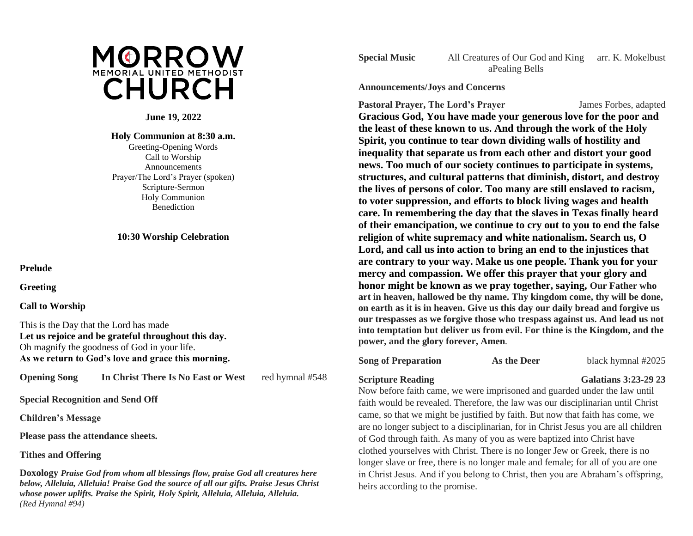

## **June 19, 2022**

### **Holy Communion at 8:30 a.m.** Greeting-Opening Words Call to Worship Announcements Prayer/The Lord's Prayer (spoken) Scripture-Sermon Holy Communion

# **10:30 Worship Celebration**

**Benediction** 

**Prelude**

**Greeting**

### **Call to Worship**

This is the Day that the Lord has made **Let us rejoice and be grateful throughout this day.** Oh magnify the goodness of God in your life. **As we return to God's love and grace this morning.** 

**Opening Song In Christ There Is No East or West** red hymnal #548

**Special Recognition and Send Off**

**Children's Message**

**Please pass the attendance sheets.**

# **Tithes and Offering**

**Doxology** *Praise God from whom all blessings flow, praise God all creatures here below, Alleluia, Alleluia! Praise God the source of all our gifts. Praise Jesus Christ whose power uplifts. Praise the Spirit, Holy Spirit, Alleluia, Alleluia, Alleluia. (Red Hymnal #94)*

**Special Music** All Creatures of Our God and King arr. K. Mokelbust aPealing Bells

**Announcements/Joys and Concerns**

**Pastoral Prayer, The Lord's Prayer** James Forbes, adapted **Gracious God, You have made your generous love for the poor and the least of these known to us. And through the work of the Holy Spirit, you continue to tear down dividing walls of hostility and inequality that separate us from each other and distort your good news. Too much of our society continues to participate in systems, structures, and cultural patterns that diminish, distort, and destroy the lives of persons of color. Too many are still enslaved to racism, to voter suppression, and efforts to block living wages and health care. In remembering the day that the slaves in Texas finally heard of their emancipation, we continue to cry out to you to end the false religion of white supremacy and white nationalism. Search us, O Lord, and call us into action to bring an end to the injustices that are contrary to your way. Make us one people. Thank you for your mercy and compassion. We offer this prayer that your glory and honor might be known as we pray together, saying, Our Father who art in heaven, hallowed be thy name. Thy kingdom come, thy will be done, on earth as it is in heaven. Give us this day our daily bread and forgive us our trespasses as we forgive those who trespass against us. And lead us not into temptation but deliver us from evil. For thine is the Kingdom, and the power, and the glory forever, Amen.**

# **Song of Preparation As the Deer** black hymnal #2025

# **Scripture Reading Galatians 3:23-29 23**

Now before faith came, we were imprisoned and guarded under the law until faith would be revealed. Therefore, the law was our disciplinarian until Christ came, so that we might be justified by faith. But now that faith has come, we are no longer subject to a disciplinarian, for in Christ Jesus you are all children of God through faith. As many of you as were baptized into Christ have clothed yourselves with Christ. There is no longer Jew or Greek, there is no longer slave or free, there is no longer male and female; for all of you are one in Christ Jesus. And if you belong to Christ, then you are Abraham's offspring, heirs according to the promise.